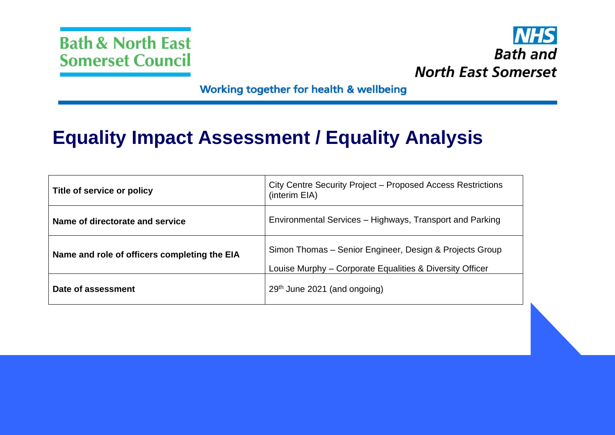



Working together for health & wellbeing

# **Equality Impact Assessment / Equality Analysis**

| Title of service or policy                   | City Centre Security Project – Proposed Access Restrictions<br>(interim EIA)                                        |  |
|----------------------------------------------|---------------------------------------------------------------------------------------------------------------------|--|
| Name of directorate and service              | Environmental Services – Highways, Transport and Parking                                                            |  |
| Name and role of officers completing the EIA | Simon Thomas – Senior Engineer, Design & Projects Group<br>Louise Murphy – Corporate Equalities & Diversity Officer |  |
| Date of assessment                           | 29 <sup>th</sup> June 2021 (and ongoing)                                                                            |  |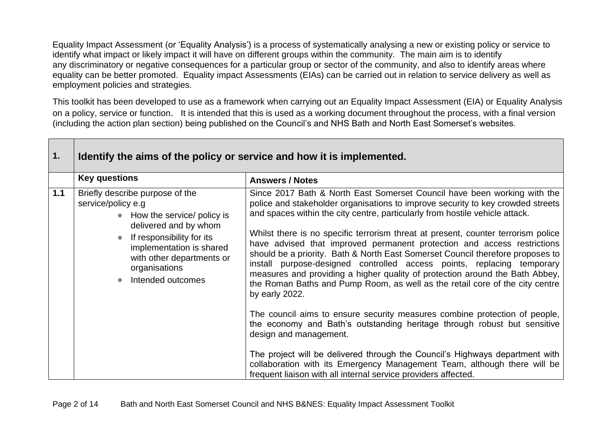Equality Impact Assessment (or 'Equality Analysis') is a process of systematically analysing a new or existing policy or service to identify what impact or likely impact it will have on different groups within the community. The main aim is to identify any discriminatory or negative consequences for a particular group or sector of the community, and also to identify areas where equality can be better promoted. Equality impact Assessments (EIAs) can be carried out in relation to service delivery as well as employment policies and strategies.

This toolkit has been developed to use as a framework when carrying out an Equality Impact Assessment (EIA) or Equality Analysis on a policy, service or function. It is intended that this is used as a working document throughout the process, with a final version (including the action plan section) being published on the Council's and NHS Bath and North East Somerset's websites.

| 1.  | Identify the aims of the policy or service and how it is implemented.                                                                                                                                                                      |                                                                                                                                                                                                                                                                                                                                                                                                                                                                                                                                                                                                                                                                                                                                                                                                                                                                                                                                                                                                                                                                                                                                                                             |  |  |
|-----|--------------------------------------------------------------------------------------------------------------------------------------------------------------------------------------------------------------------------------------------|-----------------------------------------------------------------------------------------------------------------------------------------------------------------------------------------------------------------------------------------------------------------------------------------------------------------------------------------------------------------------------------------------------------------------------------------------------------------------------------------------------------------------------------------------------------------------------------------------------------------------------------------------------------------------------------------------------------------------------------------------------------------------------------------------------------------------------------------------------------------------------------------------------------------------------------------------------------------------------------------------------------------------------------------------------------------------------------------------------------------------------------------------------------------------------|--|--|
|     | <b>Key questions</b>                                                                                                                                                                                                                       | <b>Answers / Notes</b>                                                                                                                                                                                                                                                                                                                                                                                                                                                                                                                                                                                                                                                                                                                                                                                                                                                                                                                                                                                                                                                                                                                                                      |  |  |
| 1.1 | Briefly describe purpose of the<br>service/policy e.g<br>• How the service/ policy is<br>delivered and by whom<br>If responsibility for its<br>implementation is shared<br>with other departments or<br>organisations<br>Intended outcomes | Since 2017 Bath & North East Somerset Council have been working with the<br>police and stakeholder organisations to improve security to key crowded streets<br>and spaces within the city centre, particularly from hostile vehicle attack.<br>Whilst there is no specific terrorism threat at present, counter terrorism police<br>have advised that improved permanent protection and access restrictions<br>should be a priority. Bath & North East Somerset Council therefore proposes to<br>install purpose-designed controlled access points, replacing temporary<br>measures and providing a higher quality of protection around the Bath Abbey,<br>the Roman Baths and Pump Room, as well as the retail core of the city centre<br>by early 2022.<br>The council aims to ensure security measures combine protection of people,<br>the economy and Bath's outstanding heritage through robust but sensitive<br>design and management.<br>The project will be delivered through the Council's Highways department with<br>collaboration with its Emergency Management Team, although there will be<br>frequent liaison with all internal service providers affected. |  |  |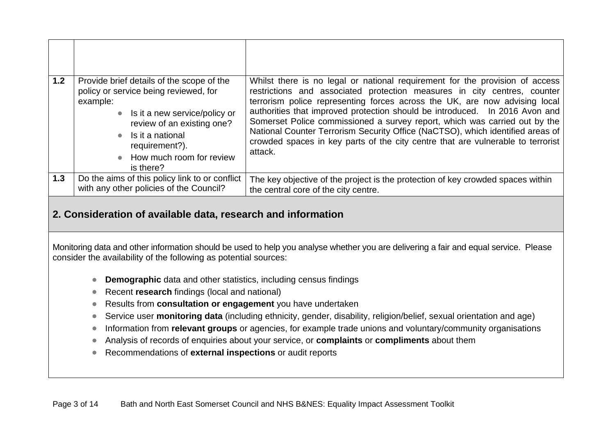| 1.2 | Provide brief details of the scope of the<br>policy or service being reviewed, for<br>example:<br>• Is it a new service/policy or<br>review of an existing one?<br>Is it a national<br>$\bullet$<br>requirement?).<br>How much room for review<br>$\bullet$<br>is there? | Whilst there is no legal or national requirement for the provision of access<br>restrictions and associated protection measures in city centres, counter<br>terrorism police representing forces across the UK, are now advising local<br>authorities that improved protection should be introduced. In 2016 Avon and<br>Somerset Police commissioned a survey report, which was carried out by the<br>National Counter Terrorism Security Office (NaCTSO), which identified areas of<br>crowded spaces in key parts of the city centre that are vulnerable to terrorist<br>attack. |
|-----|--------------------------------------------------------------------------------------------------------------------------------------------------------------------------------------------------------------------------------------------------------------------------|-------------------------------------------------------------------------------------------------------------------------------------------------------------------------------------------------------------------------------------------------------------------------------------------------------------------------------------------------------------------------------------------------------------------------------------------------------------------------------------------------------------------------------------------------------------------------------------|
| 1.3 | Do the aims of this policy link to or conflict<br>with any other policies of the Council?                                                                                                                                                                                | The key objective of the project is the protection of key crowded spaces within<br>the central core of the city centre.                                                                                                                                                                                                                                                                                                                                                                                                                                                             |

#### **2. Consideration of available data, research and information**

Monitoring data and other information should be used to help you analyse whether you are delivering a fair and equal service. Please consider the availability of the following as potential sources:

- **Demographic** data and other statistics, including census findings
- Recent **research** findings (local and national)
- Results from **consultation or engagement** you have undertaken
- Service user **monitoring data** (including ethnicity, gender, disability, religion/belief, sexual orientation and age)
- Information from **relevant groups** or agencies, for example trade unions and voluntary/community organisations
- Analysis of records of enquiries about your service, or **complaints** or **compliments** about them
- Recommendations of **external inspections** or audit reports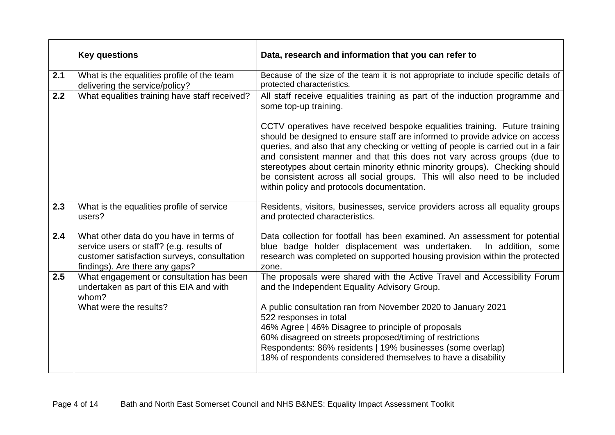|     | <b>Key questions</b>                                                                                                                                                 | Data, research and information that you can refer to                                                                                                                                                                                                                                                                                                                                                                                                                |  |
|-----|----------------------------------------------------------------------------------------------------------------------------------------------------------------------|---------------------------------------------------------------------------------------------------------------------------------------------------------------------------------------------------------------------------------------------------------------------------------------------------------------------------------------------------------------------------------------------------------------------------------------------------------------------|--|
| 2.1 | What is the equalities profile of the team<br>delivering the service/policy?                                                                                         | Because of the size of the team it is not appropriate to include specific details of<br>protected characteristics.                                                                                                                                                                                                                                                                                                                                                  |  |
| 2.2 | What equalities training have staff received?                                                                                                                        | All staff receive equalities training as part of the induction programme and<br>some top-up training.<br>CCTV operatives have received bespoke equalities training. Future training<br>should be designed to ensure staff are informed to provide advice on access<br>queries, and also that any checking or vetting of people is carried out in a fair<br>and consistent manner and that this does not vary across groups (due to                                  |  |
|     |                                                                                                                                                                      | stereotypes about certain minority ethnic minority groups). Checking should<br>be consistent across all social groups. This will also need to be included<br>within policy and protocols documentation.                                                                                                                                                                                                                                                             |  |
| 2.3 | What is the equalities profile of service<br>users?                                                                                                                  | Residents, visitors, businesses, service providers across all equality groups<br>and protected characteristics.                                                                                                                                                                                                                                                                                                                                                     |  |
| 2.4 | What other data do you have in terms of<br>service users or staff? (e.g. results of<br>customer satisfaction surveys, consultation<br>findings). Are there any gaps? | Data collection for footfall has been examined. An assessment for potential<br>blue badge holder displacement was undertaken.<br>In addition, some<br>research was completed on supported housing provision within the protected<br>zone.                                                                                                                                                                                                                           |  |
| 2.5 | What engagement or consultation has been<br>undertaken as part of this EIA and with<br>whom?<br>What were the results?                                               | The proposals were shared with the Active Travel and Accessibility Forum<br>and the Independent Equality Advisory Group.<br>A public consultation ran from November 2020 to January 2021<br>522 responses in total<br>46% Agree   46% Disagree to principle of proposals<br>60% disagreed on streets proposed/timing of restrictions<br>Respondents: 86% residents   19% businesses (some overlap)<br>18% of respondents considered themselves to have a disability |  |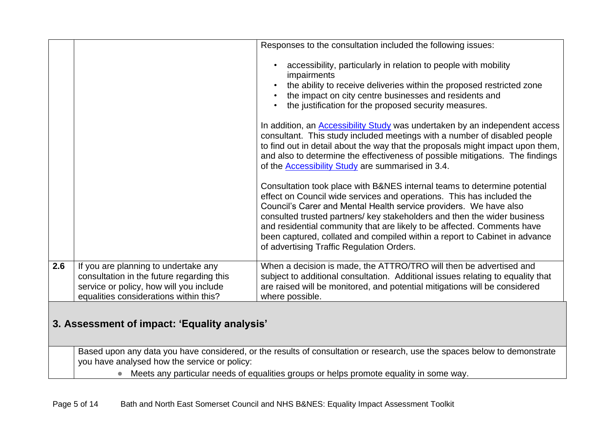|     |                                                                                                                                                                        | Responses to the consultation included the following issues:                                                                                                                                                                                                                                                                                                                                                                                                                                                                                                                                                                                                                                                                                                                                                                      |
|-----|------------------------------------------------------------------------------------------------------------------------------------------------------------------------|-----------------------------------------------------------------------------------------------------------------------------------------------------------------------------------------------------------------------------------------------------------------------------------------------------------------------------------------------------------------------------------------------------------------------------------------------------------------------------------------------------------------------------------------------------------------------------------------------------------------------------------------------------------------------------------------------------------------------------------------------------------------------------------------------------------------------------------|
|     |                                                                                                                                                                        | accessibility, particularly in relation to people with mobility<br>impairments<br>the ability to receive deliveries within the proposed restricted zone<br>the impact on city centre businesses and residents and<br>the justification for the proposed security measures.<br>In addition, an <b>Accessibility Study</b> was undertaken by an independent access<br>consultant. This study included meetings with a number of disabled people<br>to find out in detail about the way that the proposals might impact upon them,<br>and also to determine the effectiveness of possible mitigations. The findings<br>of the <b>Accessibility Study</b> are summarised in 3.4.<br>Consultation took place with B&NES internal teams to determine potential<br>effect on Council wide services and operations. This has included the |
|     |                                                                                                                                                                        | Council's Carer and Mental Health service providers. We have also<br>consulted trusted partners/ key stakeholders and then the wider business<br>and residential community that are likely to be affected. Comments have<br>been captured, collated and compiled within a report to Cabinet in advance<br>of advertising Traffic Regulation Orders.                                                                                                                                                                                                                                                                                                                                                                                                                                                                               |
| 2.6 | If you are planning to undertake any<br>consultation in the future regarding this<br>service or policy, how will you include<br>equalities considerations within this? | When a decision is made, the ATTRO/TRO will then be advertised and<br>subject to additional consultation. Additional issues relating to equality that<br>are raised will be monitored, and potential mitigations will be considered<br>where possible.                                                                                                                                                                                                                                                                                                                                                                                                                                                                                                                                                                            |
|     | 3. Assessment of impact: 'Equality analysis'                                                                                                                           |                                                                                                                                                                                                                                                                                                                                                                                                                                                                                                                                                                                                                                                                                                                                                                                                                                   |

Based upon any data you have considered, or the results of consultation or research, use the spaces below to demonstrate you have analysed how the service or policy:

• Meets any particular needs of equalities groups or helps promote equality in some way.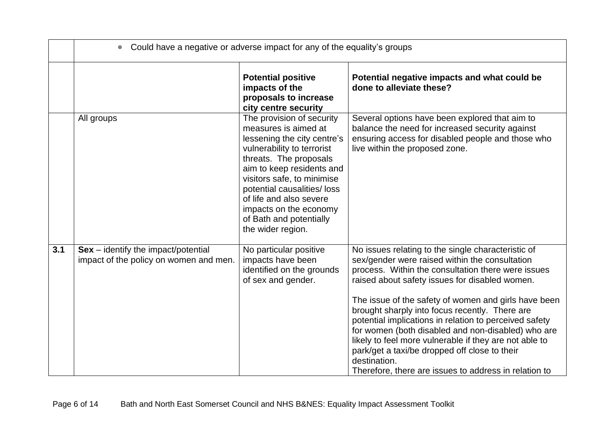|     | Could have a negative or adverse impact for any of the equality's groups        |                                                                                                                                                                                                                                                                                                                                        |                                                                                                                                                                                                                                                                                                                                                                                                                                                                                                                                                                                                                            |
|-----|---------------------------------------------------------------------------------|----------------------------------------------------------------------------------------------------------------------------------------------------------------------------------------------------------------------------------------------------------------------------------------------------------------------------------------|----------------------------------------------------------------------------------------------------------------------------------------------------------------------------------------------------------------------------------------------------------------------------------------------------------------------------------------------------------------------------------------------------------------------------------------------------------------------------------------------------------------------------------------------------------------------------------------------------------------------------|
|     |                                                                                 | <b>Potential positive</b><br>impacts of the<br>proposals to increase<br>city centre security                                                                                                                                                                                                                                           | Potential negative impacts and what could be<br>done to alleviate these?                                                                                                                                                                                                                                                                                                                                                                                                                                                                                                                                                   |
|     | All groups                                                                      | The provision of security<br>measures is aimed at<br>lessening the city centre's<br>vulnerability to terrorist<br>threats. The proposals<br>aim to keep residents and<br>visitors safe, to minimise<br>potential causalities/loss<br>of life and also severe<br>impacts on the economy<br>of Bath and potentially<br>the wider region. | Several options have been explored that aim to<br>balance the need for increased security against<br>ensuring access for disabled people and those who<br>live within the proposed zone.                                                                                                                                                                                                                                                                                                                                                                                                                                   |
| 3.1 | $Sex - identity$ the impact/potential<br>impact of the policy on women and men. | No particular positive<br>impacts have been<br>identified on the grounds<br>of sex and gender.                                                                                                                                                                                                                                         | No issues relating to the single characteristic of<br>sex/gender were raised within the consultation<br>process. Within the consultation there were issues<br>raised about safety issues for disabled women.<br>The issue of the safety of women and girls have been<br>brought sharply into focus recently. There are<br>potential implications in relation to perceived safety<br>for women (both disabled and non-disabled) who are<br>likely to feel more vulnerable if they are not able to<br>park/get a taxi/be dropped off close to their<br>destination.<br>Therefore, there are issues to address in relation to |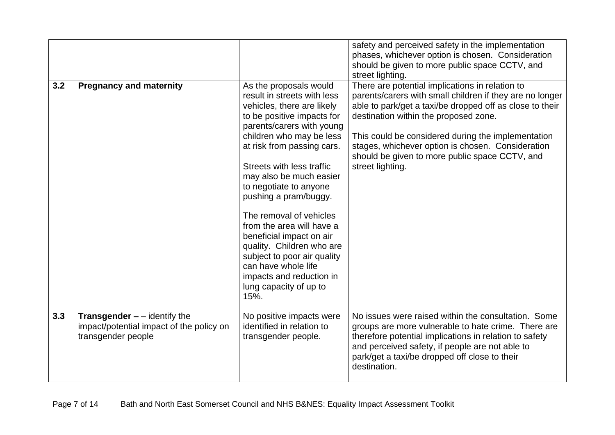|     |                                                                                                                    |                                                                                                                                                                                                                                                                  | safety and perceived safety in the implementation<br>phases, whichever option is chosen. Consideration<br>should be given to more public space CCTV, and                                                                                                                                                                                                                                          |
|-----|--------------------------------------------------------------------------------------------------------------------|------------------------------------------------------------------------------------------------------------------------------------------------------------------------------------------------------------------------------------------------------------------|---------------------------------------------------------------------------------------------------------------------------------------------------------------------------------------------------------------------------------------------------------------------------------------------------------------------------------------------------------------------------------------------------|
|     |                                                                                                                    |                                                                                                                                                                                                                                                                  | street lighting.                                                                                                                                                                                                                                                                                                                                                                                  |
| 3.2 | <b>Pregnancy and maternity</b>                                                                                     | As the proposals would<br>result in streets with less<br>vehicles, there are likely<br>to be positive impacts for<br>parents/carers with young<br>children who may be less<br>at risk from passing cars.<br>Streets with less traffic<br>may also be much easier | There are potential implications in relation to<br>parents/carers with small children if they are no longer<br>able to park/get a taxi/be dropped off as close to their<br>destination within the proposed zone.<br>This could be considered during the implementation<br>stages, whichever option is chosen. Consideration<br>should be given to more public space CCTV, and<br>street lighting. |
|     |                                                                                                                    | to negotiate to anyone<br>pushing a pram/buggy.                                                                                                                                                                                                                  |                                                                                                                                                                                                                                                                                                                                                                                                   |
|     |                                                                                                                    | The removal of vehicles<br>from the area will have a<br>beneficial impact on air<br>quality. Children who are<br>subject to poor air quality<br>can have whole life<br>impacts and reduction in<br>lung capacity of up to<br>15%.                                |                                                                                                                                                                                                                                                                                                                                                                                                   |
| 3.3 | <b>Transgender <math>-</math></b> - identify the<br>impact/potential impact of the policy on<br>transgender people | No positive impacts were<br>identified in relation to<br>transgender people.                                                                                                                                                                                     | No issues were raised within the consultation. Some<br>groups are more vulnerable to hate crime. There are<br>therefore potential implications in relation to safety<br>and perceived safety, if people are not able to<br>park/get a taxi/be dropped off close to their<br>destination.                                                                                                          |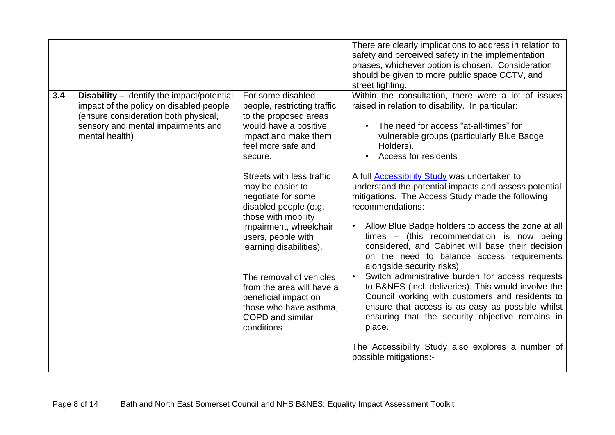|     |                                                                                                                                                                                              |                                                                                                                                                                                                                                                                                                                                                                                                                                                                                                                  | There are clearly implications to address in relation to<br>safety and perceived safety in the implementation<br>phases, whichever option is chosen. Consideration<br>should be given to more public space CCTV, and<br>street lighting.                                                                                                                                                                                                                                                                                                                                                                                                                                                                                                                                                                                                                                                                                                                                                                                 |
|-----|----------------------------------------------------------------------------------------------------------------------------------------------------------------------------------------------|------------------------------------------------------------------------------------------------------------------------------------------------------------------------------------------------------------------------------------------------------------------------------------------------------------------------------------------------------------------------------------------------------------------------------------------------------------------------------------------------------------------|--------------------------------------------------------------------------------------------------------------------------------------------------------------------------------------------------------------------------------------------------------------------------------------------------------------------------------------------------------------------------------------------------------------------------------------------------------------------------------------------------------------------------------------------------------------------------------------------------------------------------------------------------------------------------------------------------------------------------------------------------------------------------------------------------------------------------------------------------------------------------------------------------------------------------------------------------------------------------------------------------------------------------|
| 3.4 | <b>Disability</b> – identify the impact/potential<br>impact of the policy on disabled people<br>(ensure consideration both physical,<br>sensory and mental impairments and<br>mental health) | For some disabled<br>people, restricting traffic<br>to the proposed areas<br>would have a positive<br>impact and make them<br>feel more safe and<br>secure.<br>Streets with less traffic<br>may be easier to<br>negotiate for some<br>disabled people (e.g.<br>those with mobility<br>impairment, wheelchair<br>users, people with<br>learning disabilities).<br>The removal of vehicles<br>from the area will have a<br>beneficial impact on<br>those who have asthma,<br><b>COPD</b> and similar<br>conditions | Within the consultation, there were a lot of issues<br>raised in relation to disability. In particular:<br>The need for access "at-all-times" for<br>vulnerable groups (particularly Blue Badge<br>Holders).<br>Access for residents<br>A full Accessibility Study was undertaken to<br>understand the potential impacts and assess potential<br>mitigations. The Access Study made the following<br>recommendations:<br>Allow Blue Badge holders to access the zone at all<br>times $-$ (this recommendation is now being<br>considered, and Cabinet will base their decision<br>on the need to balance access requirements<br>alongside security risks).<br>Switch administrative burden for access requests<br>to B&NES (incl. deliveries). This would involve the<br>Council working with customers and residents to<br>ensure that access is as easy as possible whilst<br>ensuring that the security objective remains in<br>place.<br>The Accessibility Study also explores a number of<br>possible mitigations:- |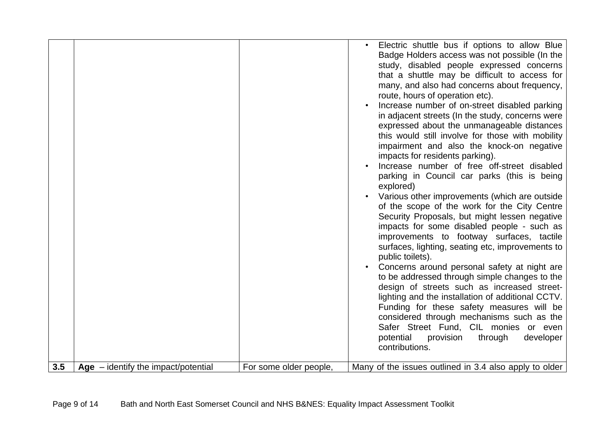|     |                                       |                        | Electric shuttle bus if options to allow Blue<br>Badge Holders access was not possible (In the<br>study, disabled people expressed concerns<br>that a shuttle may be difficult to access for<br>many, and also had concerns about frequency,<br>route, hours of operation etc).<br>Increase number of on-street disabled parking<br>in adjacent streets (In the study, concerns were<br>expressed about the unmanageable distances<br>this would still involve for those with mobility<br>impairment and also the knock-on negative<br>impacts for residents parking).<br>Increase number of free off-street disabled<br>parking in Council car parks (this is being<br>explored)<br>Various other improvements (which are outside<br>of the scope of the work for the City Centre<br>Security Proposals, but might lessen negative<br>impacts for some disabled people - such as<br>improvements to footway surfaces, tactile<br>surfaces, lighting, seating etc, improvements to<br>public toilets).<br>Concerns around personal safety at night are<br>to be addressed through simple changes to the<br>design of streets such as increased street-<br>lighting and the installation of additional CCTV.<br>Funding for these safety measures will be<br>considered through mechanisms such as the<br>Safer Street Fund, CIL monies or even<br>potential<br>provision<br>through<br>developer<br>contributions. |
|-----|---------------------------------------|------------------------|--------------------------------------------------------------------------------------------------------------------------------------------------------------------------------------------------------------------------------------------------------------------------------------------------------------------------------------------------------------------------------------------------------------------------------------------------------------------------------------------------------------------------------------------------------------------------------------------------------------------------------------------------------------------------------------------------------------------------------------------------------------------------------------------------------------------------------------------------------------------------------------------------------------------------------------------------------------------------------------------------------------------------------------------------------------------------------------------------------------------------------------------------------------------------------------------------------------------------------------------------------------------------------------------------------------------------------------------------------------------------------------------------------------------|
| 3.5 | Age $-$ identify the impact/potential | For some older people, | Many of the issues outlined in 3.4 also apply to older                                                                                                                                                                                                                                                                                                                                                                                                                                                                                                                                                                                                                                                                                                                                                                                                                                                                                                                                                                                                                                                                                                                                                                                                                                                                                                                                                             |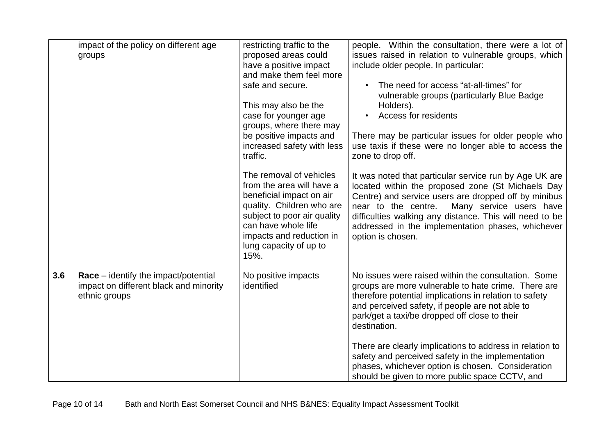|     | impact of the policy on different age                                                           | restricting traffic to the                                                                                                                                                                                                        | people. Within the consultation, there were a lot of                                                                                                                                                                                                                                                                                                       |
|-----|-------------------------------------------------------------------------------------------------|-----------------------------------------------------------------------------------------------------------------------------------------------------------------------------------------------------------------------------------|------------------------------------------------------------------------------------------------------------------------------------------------------------------------------------------------------------------------------------------------------------------------------------------------------------------------------------------------------------|
|     | groups                                                                                          | proposed areas could                                                                                                                                                                                                              | issues raised in relation to vulnerable groups, which                                                                                                                                                                                                                                                                                                      |
|     |                                                                                                 | have a positive impact                                                                                                                                                                                                            | include older people. In particular:                                                                                                                                                                                                                                                                                                                       |
|     |                                                                                                 | and make them feel more                                                                                                                                                                                                           |                                                                                                                                                                                                                                                                                                                                                            |
|     |                                                                                                 | safe and secure.                                                                                                                                                                                                                  | The need for access "at-all-times" for                                                                                                                                                                                                                                                                                                                     |
|     |                                                                                                 |                                                                                                                                                                                                                                   | vulnerable groups (particularly Blue Badge                                                                                                                                                                                                                                                                                                                 |
|     |                                                                                                 | This may also be the                                                                                                                                                                                                              | Holders).                                                                                                                                                                                                                                                                                                                                                  |
|     |                                                                                                 | case for younger age                                                                                                                                                                                                              | Access for residents                                                                                                                                                                                                                                                                                                                                       |
|     |                                                                                                 | groups, where there may                                                                                                                                                                                                           |                                                                                                                                                                                                                                                                                                                                                            |
|     |                                                                                                 | be positive impacts and                                                                                                                                                                                                           | There may be particular issues for older people who                                                                                                                                                                                                                                                                                                        |
|     |                                                                                                 | increased safety with less                                                                                                                                                                                                        | use taxis if these were no longer able to access the                                                                                                                                                                                                                                                                                                       |
|     |                                                                                                 | traffic.                                                                                                                                                                                                                          | zone to drop off.                                                                                                                                                                                                                                                                                                                                          |
|     |                                                                                                 | The removal of vehicles<br>from the area will have a<br>beneficial impact on air<br>quality. Children who are<br>subject to poor air quality<br>can have whole life<br>impacts and reduction in<br>lung capacity of up to<br>15%. | It was noted that particular service run by Age UK are<br>located within the proposed zone (St Michaels Day<br>Centre) and service users are dropped off by minibus<br>Many service users have<br>near to the centre.<br>difficulties walking any distance. This will need to be<br>addressed in the implementation phases, whichever<br>option is chosen. |
| 3.6 | Race – identify the impact/potential<br>impact on different black and minority<br>ethnic groups | No positive impacts<br>identified                                                                                                                                                                                                 | No issues were raised within the consultation. Some<br>groups are more vulnerable to hate crime. There are<br>therefore potential implications in relation to safety<br>and perceived safety, if people are not able to<br>park/get a taxi/be dropped off close to their<br>destination.<br>There are clearly implications to address in relation to       |
|     |                                                                                                 |                                                                                                                                                                                                                                   | safety and perceived safety in the implementation<br>phases, whichever option is chosen. Consideration<br>should be given to more public space CCTV, and                                                                                                                                                                                                   |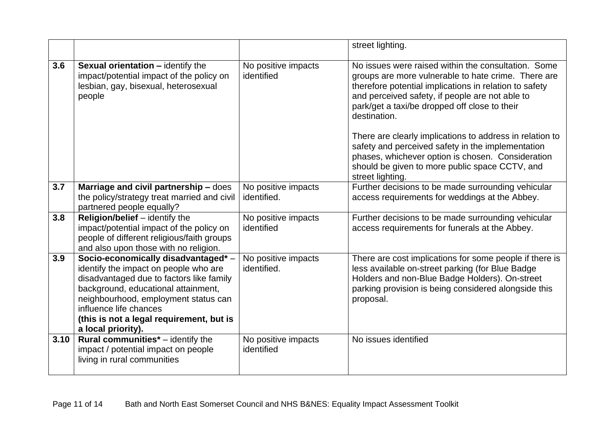|      |                                                                                                                                                                                                                                                                                                     |                                    | street lighting.                                                                                                                                                                                                                                                                         |  |
|------|-----------------------------------------------------------------------------------------------------------------------------------------------------------------------------------------------------------------------------------------------------------------------------------------------------|------------------------------------|------------------------------------------------------------------------------------------------------------------------------------------------------------------------------------------------------------------------------------------------------------------------------------------|--|
| 3.6  | <b>Sexual orientation - identify the</b><br>impact/potential impact of the policy on<br>lesbian, gay, bisexual, heterosexual<br>people                                                                                                                                                              | No positive impacts<br>identified  | No issues were raised within the consultation. Some<br>groups are more vulnerable to hate crime. There are<br>therefore potential implications in relation to safety<br>and perceived safety, if people are not able to<br>park/get a taxi/be dropped off close to their<br>destination. |  |
|      |                                                                                                                                                                                                                                                                                                     |                                    | There are clearly implications to address in relation to<br>safety and perceived safety in the implementation<br>phases, whichever option is chosen. Consideration<br>should be given to more public space CCTV, and<br>street lighting.                                                 |  |
| 3.7  | Marriage and civil partnership - does<br>the policy/strategy treat married and civil<br>partnered people equally?                                                                                                                                                                                   | No positive impacts<br>identified. | Further decisions to be made surrounding vehicular<br>access requirements for weddings at the Abbey.                                                                                                                                                                                     |  |
| 3.8  | Religion/belief - identify the<br>impact/potential impact of the policy on<br>people of different religious/faith groups<br>and also upon those with no religion.                                                                                                                                   | No positive impacts<br>identified  | Further decisions to be made surrounding vehicular<br>access requirements for funerals at the Abbey.                                                                                                                                                                                     |  |
| 3.9  | Socio-economically disadvantaged* -<br>identify the impact on people who are<br>disadvantaged due to factors like family<br>background, educational attainment,<br>neighbourhood, employment status can<br>influence life chances<br>(this is not a legal requirement, but is<br>a local priority). | No positive impacts<br>identified. | There are cost implications for some people if there is<br>less available on-street parking (for Blue Badge<br>Holders and non-Blue Badge Holders). On-street<br>parking provision is being considered alongside this<br>proposal.                                                       |  |
| 3.10 | Rural communities* - identify the<br>impact / potential impact on people<br>living in rural communities                                                                                                                                                                                             | No positive impacts<br>identified  | No issues identified                                                                                                                                                                                                                                                                     |  |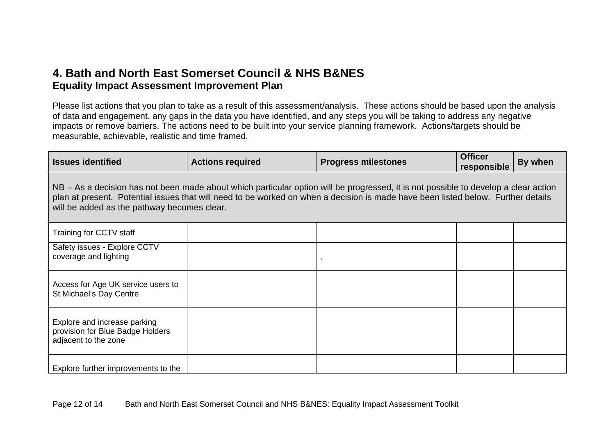### **4. Bath and North East Somerset Council & NHS B&NES Equality Impact Assessment Improvement Plan**

Please list actions that you plan to take as a result of this assessment/analysis. These actions should be based upon the analysis of data and engagement, any gaps in the data you have identified, and any steps you will be taking to address any negative impacts or remove barriers. The actions need to be built into your service planning framework. Actions/targets should be measurable, achievable, realistic and time framed.

| <b>Issues identified</b>                                                                                                                                                                                                                                                                                               | <b>Actions required</b> | <b>Progress milestones</b> | <b>Officer</b><br>responsible | By when |  |  |
|------------------------------------------------------------------------------------------------------------------------------------------------------------------------------------------------------------------------------------------------------------------------------------------------------------------------|-------------------------|----------------------------|-------------------------------|---------|--|--|
| NB – As a decision has not been made about which particular option will be progressed, it is not possible to develop a clear action<br>plan at present. Potential issues that will need to be worked on when a decision is made have been listed below. Further details<br>will be added as the pathway becomes clear. |                         |                            |                               |         |  |  |
| Training for CCTV staff                                                                                                                                                                                                                                                                                                |                         |                            |                               |         |  |  |
| Safety issues - Explore CCTV<br>coverage and lighting                                                                                                                                                                                                                                                                  |                         |                            |                               |         |  |  |
| Access for Age UK service users to<br>St Michael's Day Centre                                                                                                                                                                                                                                                          |                         |                            |                               |         |  |  |
| Explore and increase parking<br>provision for Blue Badge Holders<br>adjacent to the zone                                                                                                                                                                                                                               |                         |                            |                               |         |  |  |
| Explore further improvements to the                                                                                                                                                                                                                                                                                    |                         |                            |                               |         |  |  |